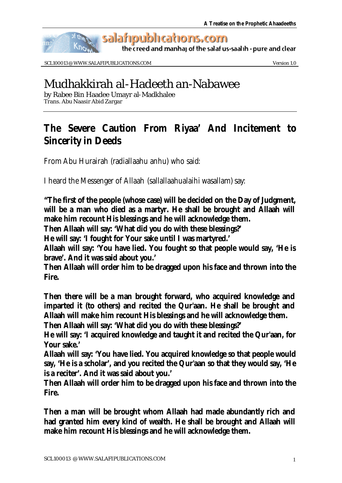

salafipublications.com

the creed and manhaj of the salaf us-saalih - pure and clear

SCL100013 @ WWW.SALAFIPUBLICATIONS.COM Version 1.0

# Mudhakkirah al-Hadeeth an-Nabawee

by Rabee Bin Haadee Umayr al-Madkhalee Trans. Abu Naasir Abid Zargar

# **The Severe Caution From Riyaa' And Incitement to Sincerity in Deeds**

From Abu Hurairah (radiallaahu anhu) who said:

I heard the Messenger of Allaah (sallallaahualaihi wasallam) say:

**"The first of the people (whose case) will be decided on the Day of Judgment, will be a man who died as a martyr. He shall be brought and Allaah will make him recount His blessings and he will acknowledge them.** 

**Then Allaah will say: 'What did you do with these blessings?'** 

**He will say: 'I fought for Your sake until I was martyred.'** 

**Allaah will say: 'You have lied. You fought so that people would say, 'He is brave'. And it was said about you.'** 

**Then Allaah will order him to be dragged upon his face and thrown into the Fire.** 

**Then there will be a man brought forward, who acquired knowledge and imparted it (to others) and recited the Qur'aan. He shall be brought and Allaah will make him recount His blessings and he will acknowledge them.** 

**Then Allaah will say: 'What did you do with these blessings?'** 

**He will say: 'I acquired knowledge and taught it and recited the Qur'aan, for Your sake.'**

**Allaah will say: 'You have lied. You acquired knowledge so that people would say, 'He is a scholar', and you recited the Qur'aan so that they would say, 'He is a reciter'. And it was said about you.'** 

**Then Allaah will order him to be dragged upon his face and thrown into the Fire.**

**Then a man will be brought whom Allaah had made abundantly rich and had granted him every kind of wealth. He shall be brought and Allaah will make him recount His blessings and he will acknowledge them.**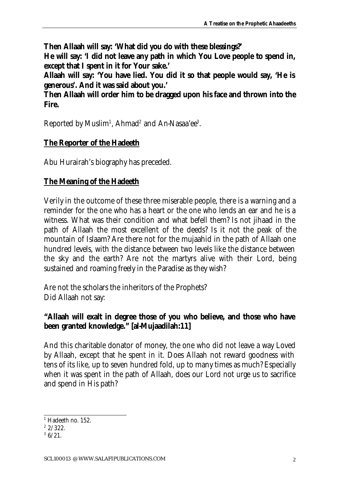**Then Allaah will say: 'What did you do with these blessings?' He will say: 'I did not leave any path in which You Love people to spend in, except that I spent in it for Your sake.'** 

**Allaah will say: 'You have lied. You did it so that people would say, 'He is generous'. And it was said about you.'** 

**Then Allaah will order him to be dragged upon his face and thrown into the Fire.**

Reported by Muslim<sup>1</sup>, Ahmad<sup>2</sup> and An-Nasaa'ee<sup>3</sup>.

## **The Reporter of the Hadeeth**

Abu Hurairah's biography has preceded.

### **The Meaning of the Hadeeth**

Verily in the outcome of these three miserable people, there is a warning and a reminder for the one who has a heart or the one who lends an ear and he is a witness. What was their condition and what befell them? Is not jihaad in the path of Allaah the most excellent of the deeds? Is it not the peak of the mountain of Islaam? Are there not for the mujaahid in the path of Allaah one hundred levels, with the distance between two levels like the distance between the sky and the earth? Are not the martyrs alive with their Lord, being sustained and roaming freely in the Paradise as they wish?

Are not the scholars the inheritors of the Prophets? Did Allaah not say:

### **"Allaah will exalt in degree those of you who believe, and those who have been granted knowledge." [al-Mujaadilah:11]**

And this charitable donator of money, the one who did not leave a way Loved by Allaah, except that he spent in it. Does Allaah not reward goodness with tens of its like, up to seven hundred fold, up to many times as much? Especially when it was spent in the path of Allaah, does our Lord not urge us to sacrifice and spend in His path?

<sup>&</sup>lt;sup>1</sup> Hadeeth no. 152.

 $2/322$ .

 $36/21$ .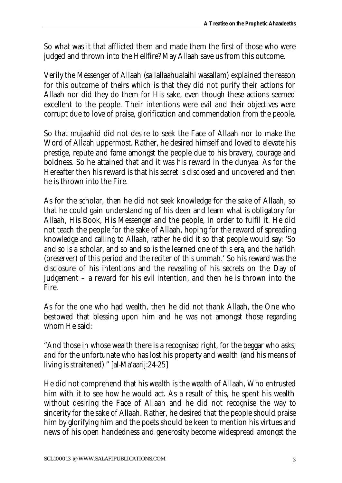So what was it that afflicted them and made them the first of those who were judged and thrown into the Hellfire? May Allaah save us from this outcome.

Verily the Messenger of Allaah (sallallaahualaihi wasallam) explained the reason for this outcome of theirs which is that they did not purify their actions for Allaah nor did they do them for His sake, even though these actions seemed excellent to the people. Their intentions were evil and their objectives were corrupt due to love of praise, glorification and commendation from the people.

So that mujaahid did not desire to seek the Face of Allaah nor to make the Word of Allaah uppermost. Rather, he desired himself and loved to elevate his prestige, repute and fame amongst the people due to his bravery, courage and boldness. So he attained that and it was his reward in the dunyaa. As for the Hereafter then his reward is that his secret is disclosed and uncovered and then he is thrown into the Fire.

As for the scholar, then he did not seek knowledge for the sake of Allaah, so that he could gain understanding of his deen and learn what is obligatory for Allaah, His Book, His Messenger and the people, in order to fulfil it. He did not teach the people for the sake of Allaah, hoping for the reward of spreading knowledge and calling to Allaah, rather he did it so that people would say: 'So and so is a scholar, and so and so is the learned one of this era, and the hafidh (preserver) of this period and the reciter of this ummah.' So his reward was the disclosure of his intentions and the revealing of his secrets on the Day of Judgement – a reward for his evil intention, and then he is thrown into the Fire.

As for the one who had wealth, then he did not thank Allaah, the One who bestowed that blessing upon him and he was not amongst those regarding whom He said:

"And those in whose wealth there is a recognised right, for the beggar who asks, and for the unfortunate who has lost his property and wealth (and his means of living is straitened)." [al-Ma'aarij:24-25]

He did not comprehend that his wealth is the wealth of Allaah, Who entrusted him with it to see how he would act. As a result of this, he spent his wealth without desiring the Face of Allaah and he did not recognise the way to sincerity for the sake of Allaah. Rather, he desired that the people should praise him by glorifying him and the poets should be keen to mention his virtues and news of his open handedness and generosity become widespread amongst the